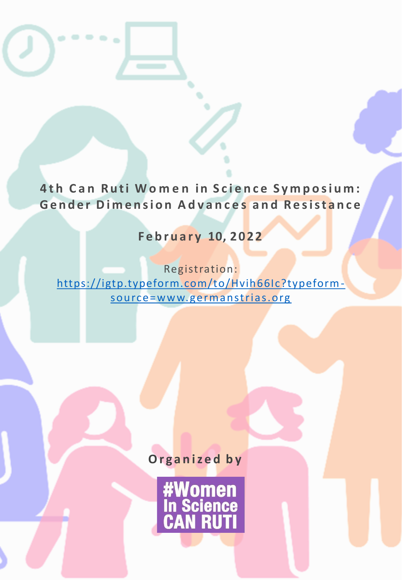**4th Can Ruti Women in Science Symposium: Gender Dimension Advances and Resistance** 

 $\bullet\bullet\bullet\bullet\textcolor{red}{\bullet}$ 

**F e b r u a r y 10, 2022**

Registration: [https://igtp.typeform.com/to/Hvih66Ic?typeform](https://igtp.typeform.com/to/Hvih66Ic?typeform-source=www.germanstrias.org)source=www. germanstrias.org

**O r g a n i z e d b y**

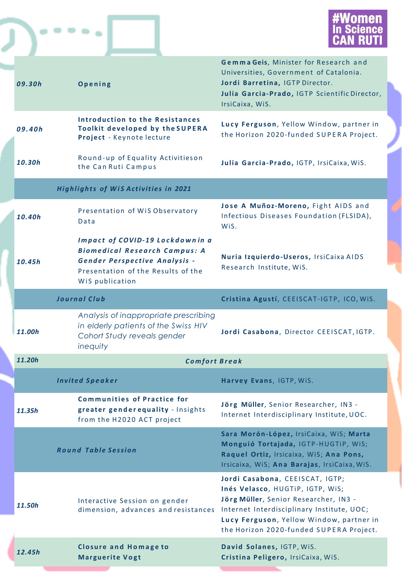



|  | 09.30h                                      | Opening                                                                                                                                                           | Gemma Geis, Minister for Research and<br>Universities, Government of Catalonia.<br>Jordi Barretina, IGTP Director.<br>Julia Garcia-Prado, IGTP Scientific Director,<br>IrsiCaixa, WiS.                                                            |
|--|---------------------------------------------|-------------------------------------------------------------------------------------------------------------------------------------------------------------------|---------------------------------------------------------------------------------------------------------------------------------------------------------------------------------------------------------------------------------------------------|
|  | 09.40h                                      | Introduction to the Resistances<br><b>Toolkit developed by the SUPERA</b><br>Project - Keynote lecture                                                            | Lucy Ferguson, Yellow Window, partner in<br>the Horizon 2020-funded SUPERA Project.                                                                                                                                                               |
|  | 10.30h                                      | Round-up of Equality Activitieson<br>the Can Ruti Campus                                                                                                          | Julia Garcia-Prado, IGTP, IrsiCaixa, WiS.                                                                                                                                                                                                         |
|  | <b>Highlights of WiS Activities in 2021</b> |                                                                                                                                                                   |                                                                                                                                                                                                                                                   |
|  | 10.40h                                      | Presentation of WiS Observatory<br>Data                                                                                                                           | Jose A Muñoz-Moreno, Fight AIDS and<br>Infectious Diseases Foundation (FLSIDA),<br>Wis.                                                                                                                                                           |
|  | 10.45h                                      | Impact of COVID-19 Lockdownin a<br><b>Biomedical Research Campus: A</b><br>Gender Perspective Analysis -<br>Presentation of the Results of the<br>WiS publication | Nuria Izquierdo-Useros, IrsiCaixa AIDS<br>Research Institute, WiS.                                                                                                                                                                                |
|  |                                             | <b>Journal Club</b>                                                                                                                                               | Cristina Agustí, CEEISCAT-IGTP, ICO, WiS.                                                                                                                                                                                                         |
|  | 11.00h                                      | Analysis of inappropriate prescribing<br>in elderly patients of the Swiss HIV<br>Cohort Study reveals gender<br>inequity                                          | Jordi Casabona, Director CEEISCAT, IGTP.                                                                                                                                                                                                          |
|  | 11.20h                                      | <b>Comfort Break</b>                                                                                                                                              |                                                                                                                                                                                                                                                   |
|  |                                             | <b>Invited Speaker</b>                                                                                                                                            | Harvey Evans, IGTP, WiS.                                                                                                                                                                                                                          |
|  | 11.35h                                      | <b>Communities of Practice for</b><br>greater gender equality - Insights<br>from the H2020 ACT project                                                            | Jörg Müller, Senior Researcher, IN3 -<br>Internet Interdisciplinary Institute, UOC.                                                                                                                                                               |
|  |                                             | <b>Round Table Session</b>                                                                                                                                        | Sara Morón-López, IrsiCaixa, WiS; Marta<br>Monguió Tortajada, IGTP-HUGTIP, WIS;<br>Raquel Ortiz, Irsicaixa, WiS; Ana Pons,<br>Irsicaixa, WiS; Ana Barajas, IrsiCaixa, WiS.                                                                        |
|  | 11.50h                                      | Interactive Session on gender<br>dimension, advances and resistances                                                                                              | Jordi Casabona, CEEISCAT, IGTP;<br>Inés Velasco, HUGTIP, IGTP, WIS;<br>Jörg Müller, Senior Researcher, IN3 -<br>Internet Interdisciplinary Institute, UOC;<br>Lucy Ferguson, Yellow Window, partner in<br>the Horizon 2020-funded SUPERA Project. |
|  | 12.45h                                      | <b>Closure and Homage to</b><br><b>Marguerite Vogt</b>                                                                                                            | David Solanes, IGTP, WiS.<br>Cristina Peligero, IrsiCaixa, WiS.                                                                                                                                                                                   |
|  |                                             |                                                                                                                                                                   |                                                                                                                                                                                                                                                   |